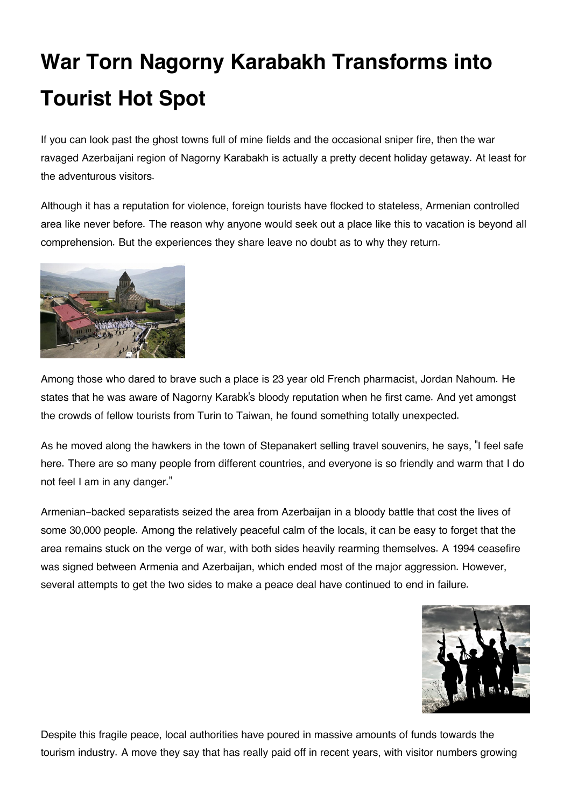## **War Torn Nagorny Karabakh Transforms into Tourist Hot Spot**

If you can look past the ghost towns full of mine fields and the occasional sniper fire, then the war ravaged Azerbaijani region of Nagorny Karabakh is actually a pretty decent holiday getaway. At least for the adventurous visitors.

Although it has a reputation for violence, foreign tourists have flocked to stateless, Armenian controlled area like never before. The reason why anyone would seek out a place like this to vacation is beyond all comprehension. But the experiences they share leave no doubt as to why they return.



Among those who dared to brave such a place is 23 year old French pharmacist, Jordan Nahoum. He states that he was aware of Nagorny Karabk's bloody reputation when he first came. And yet amongst the crowds of fellow tourists from Turin to Taiwan, he found something totally unexpected.

As he moved along the hawkers in the town of Stepanakert selling travel souvenirs, he says, "I feel safe here. There are so many people from different countries, and everyone is so friendly and warm that I do not feel I am in any danger."

Armenian-backed separatists seized the area from Azerbaijan in a bloody battle that cost the lives of some 30,000 people. Among the relatively peaceful calm of the locals, it can be easy to forget that the area remains stuck on the verge of war, with both sides heavily rearming themselves. A 1994 ceasefire was signed between Armenia and Azerbaijan, which ended most of the major aggression. However, several attempts to get the two sides to make a peace deal have continued to end in failure.



Despite this fragile peace, local authorities have poured in massive amounts of funds towards the tourism industry. A move they say that has really paid off in recent years, with visitor numbers growing